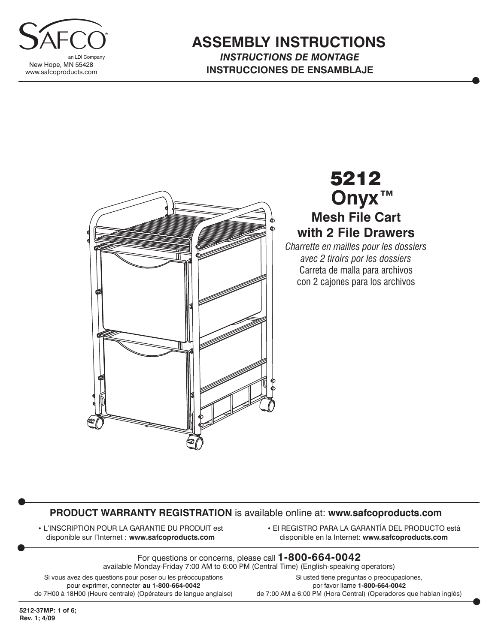

#### **ASSEMBLY INSTRUCTIONS** *INSTRUCTIONS DE MONTAGE* **INSTRUCCIONES DE ENSAMBLAJE**



# 5212 **Mesh File Cart with 2 File Drawers Onyx™**

*Charrette en mailles pour les dossiers avec 2 tiroirs por les dossiers* Carreta de malla para archivos con 2 cajones para los archivos

#### **PRODUCT WARRANTY REGISTRATION** is available online at: **www.safcoproducts.com**

• L'INSCRIPTION POUR LA GARANTIE DU PRODUIT est disponible sur l'Internet : **www.safcoproducts.com**

• El REGISTRO PARA LA GARANTÍA DEL PRODUCTO está disponible en la Internet: **www.safcoproducts.com**

For questions or concerns, please call **1-800-664-0042** available Monday-Friday 7:00 AM to 6:00 PM (Central Time) (English-speaking operators)

Si vous avez des questions pour poser ou les préoccupations pour exprimer, connecter **au 1-800-664-0042** de 7H00 à 18H00 (Heure centrale) (Opérateurs de langue anglaise)

Si usted tiene preguntas o preocupaciones, por favor llame **1-800-664-0042** de 7:00 AM a 6:00 PM (Hora Central) (Operadores que hablan inglés)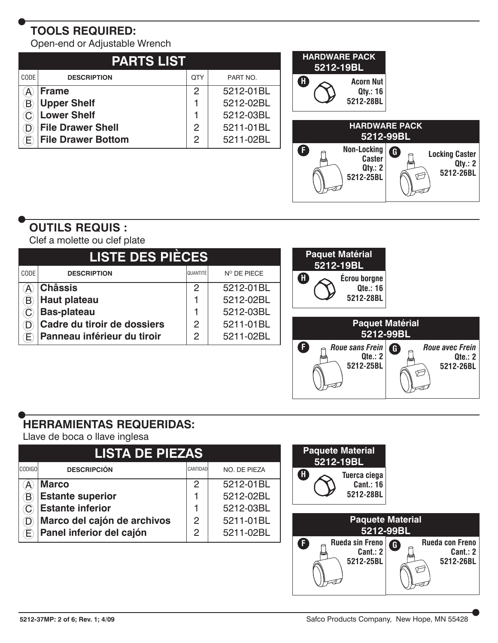# **TOOLS REQUIRED:**

Open-end or Adjustable Wrench

| <b>PARTS LIST</b> |                           |     |           |  |  |  |  |
|-------------------|---------------------------|-----|-----------|--|--|--|--|
| CODE              | <b>DESCRIPTION</b>        | QTY | PART NO.  |  |  |  |  |
|                   | <b>Frame</b>              | 2   | 5212-01BL |  |  |  |  |
|                   | <b>Upper Shelf</b>        |     | 5212-02BL |  |  |  |  |
|                   | <b>Lower Shelf</b>        |     | 5212-03BL |  |  |  |  |
|                   | <b>File Drawer Shell</b>  | 2   | 5211-01BL |  |  |  |  |
|                   | <b>File Drawer Bottom</b> | 2   | 5211-02BL |  |  |  |  |



## **OUTILS REQUIS :**

Clef a molette ou clef plate

| <b>LISTE DES PIÈCES</b>    |                             |            |             | <b>Paquet Matérial</b><br>5212-19BL |
|----------------------------|-----------------------------|------------|-------------|-------------------------------------|
| CODE                       | <b>DESCRIPTION</b>          | QUANTITÉ I | N° DE PIECE | Œ<br><b>Écrou borgne</b>            |
| $\mathcal{A}$              | <b>Châssis</b>              | 2          | 5212-01BL   | <b>Qte.: 16</b>                     |
| $\left( \mathsf{B}\right)$ | <b>Haut plateau</b>         |            | 5212-02BL   | 5212-28BL                           |
|                            | <b>Bas-plateau</b>          |            | 5212-03BL   |                                     |
|                            | Cadre du tiroir de dossiers | 2          | 5211-01BL   | <b>Paquet Matérial</b>              |
| Œ                          | Panneau inférieur du tiroir | 2          | 5211-02BL   | 5212-99BL                           |
|                            |                             |            |             |                                     |

### **HERRAMIENTAS REQUERIDAS:**

Llave de boca o llave inglesa

| <b>LISTA DE PIEZAS</b> |                             |               |              |  |  |  |  |
|------------------------|-----------------------------|---------------|--------------|--|--|--|--|
| <b>CODIGO</b>          | <b>DESCRIPCIÓN</b>          | CANTIDAD      | NO. DE PIEZA |  |  |  |  |
|                        | <b>Marco</b>                | 2             | 5212-01BL    |  |  |  |  |
|                        | <b>Estante superior</b>     |               | 5212-02BL    |  |  |  |  |
|                        | <b>Estante inferior</b>     |               | 5212-03BL    |  |  |  |  |
|                        | Marco del cajón de archivos | $\mathcal{P}$ | 5211-01BL    |  |  |  |  |
|                        | Panel inferior del cajón    | 2             | 5211-02BL    |  |  |  |  |

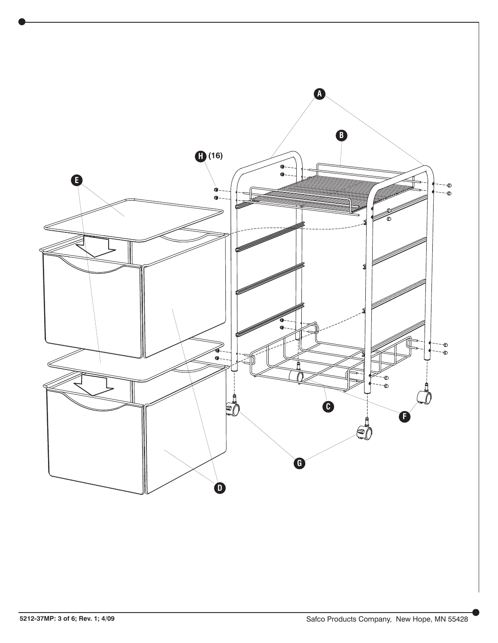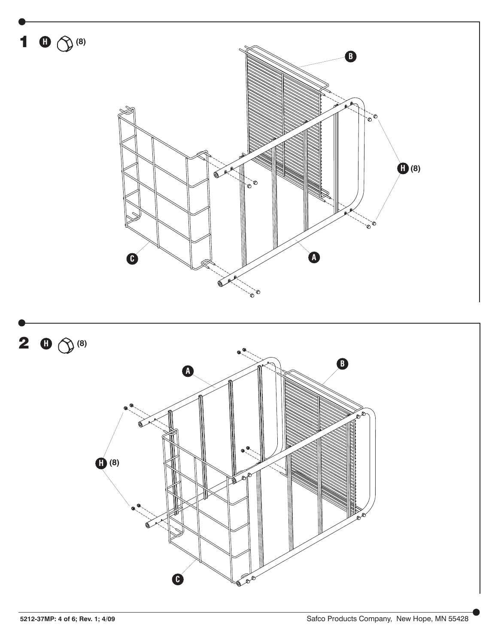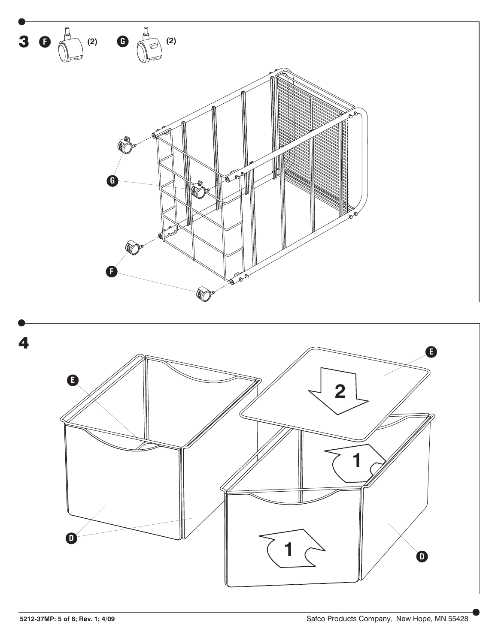